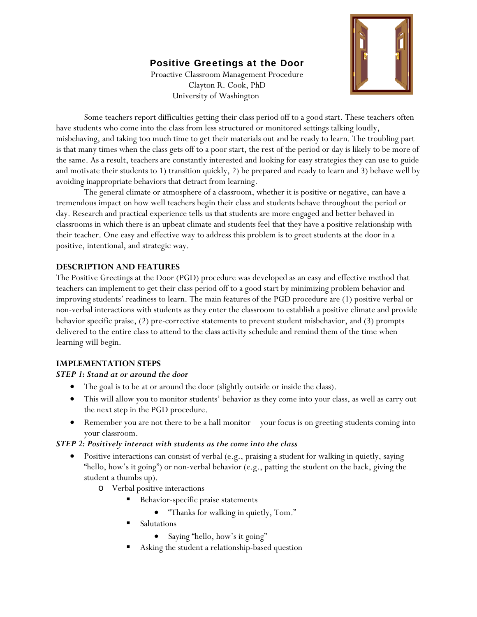# Positive Greetings at the Door

Proactive Classroom Management Procedure Clayton R. Cook, PhD University of Washington



 Some teachers report difficulties getting their class period off to a good start. These teachers often have students who come into the class from less structured or monitored settings talking loudly, misbehaving, and taking too much time to get their materials out and be ready to learn. The troubling part is that many times when the class gets off to a poor start, the rest of the period or day is likely to be more of the same. As a result, teachers are constantly interested and looking for easy strategies they can use to guide and motivate their students to 1) transition quickly, 2) be prepared and ready to learn and 3) behave well by avoiding inappropriate behaviors that detract from learning.

The general climate or atmosphere of a classroom, whether it is positive or negative, can have a tremendous impact on how well teachers begin their class and students behave throughout the period or day. Research and practical experience tells us that students are more engaged and better behaved in classrooms in which there is an upbeat climate and students feel that they have a positive relationship with their teacher. One easy and effective way to address this problem is to greet students at the door in a positive, intentional, and strategic way.

### **DESCRIPTION AND FEATURES**

The Positive Greetings at the Door (PGD) procedure was developed as an easy and effective method that teachers can implement to get their class period off to a good start by minimizing problem behavior and improving students' readiness to learn. The main features of the PGD procedure are (1) positive verbal or non-verbal interactions with students as they enter the classroom to establish a positive climate and provide behavior specific praise, (2) pre-corrective statements to prevent student misbehavior, and (3) prompts delivered to the entire class to attend to the class activity schedule and remind them of the time when learning will begin.

### **IMPLEMENTATION STEPS**

### *STEP 1: Stand at or around the door*

- The goal is to be at or around the door (slightly outside or inside the class).
- This will allow you to monitor students' behavior as they come into your class, as well as carry out the next step in the PGD procedure.
- Remember you are not there to be a hall monitor—your focus is on greeting students coming into your classroom.

## *STEP 2: Positively interact with students as the come into the class*

- Positive interactions can consist of verbal (e.g., praising a student for walking in quietly, saying "hello, how's it going") or non-verbal behavior (e.g., patting the student on the back, giving the student a thumbs up).
	- o Verbal positive interactions
		- Behavior-specific praise statements
			- "Thanks for walking in quietly, Tom."
		- Salutations
			- Saying "hello, how's it going"
		- Asking the student a relationship-based question